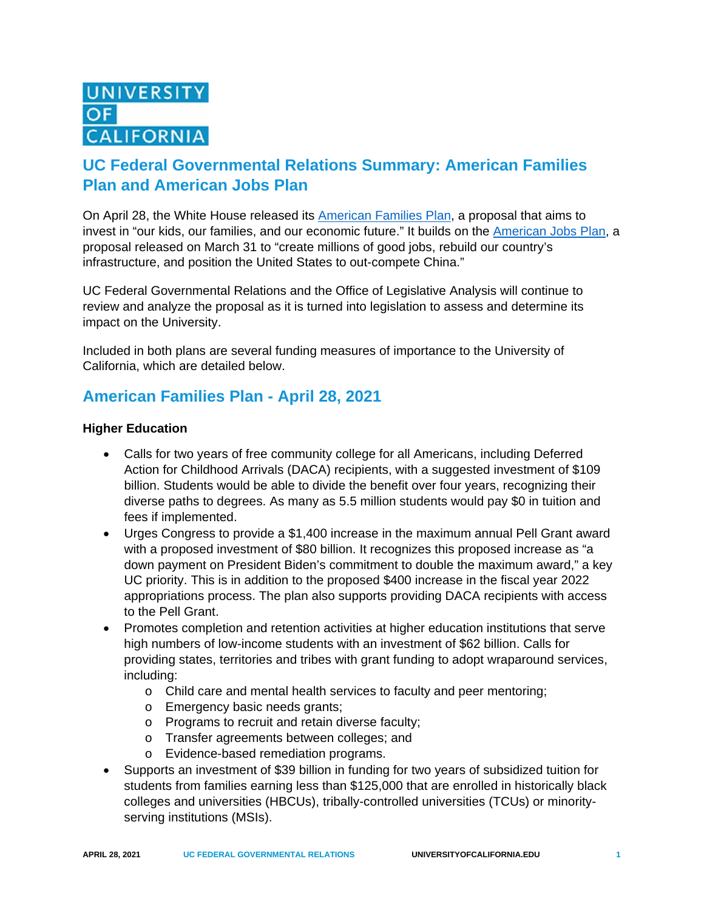# **UC Federal Governmental Relations Summary: American Families Plan and American Jobs Plan**

On April 28, the White House released its [American Families](https://www.whitehouse.gov/briefing-room/statements-releases/2021/04/28/fact-sheet-the-american-families-plan/) Plan, a proposal that aims to invest in "our kids, our families, and our economic future." It builds on the [American Jobs Plan,](https://www.whitehouse.gov/briefing-room/statements-releases/2021/03/31/fact-sheet-the-american-jobs-plan/) a proposal released on March 31 to "create millions of good jobs, rebuild our country's infrastructure, and position the United States to out-compete China."

UC Federal Governmental Relations and the Office of Legislative Analysis will continue to review and analyze the proposal as it is turned into legislation to assess and determine its impact on the University.

Included in both plans are several funding measures of importance to the University of California, which are detailed below.

## **American Families Plan - April 28, 2021**

#### **Higher Education**

- Calls for two years of free community college for all Americans, including Deferred Action for Childhood Arrivals (DACA) recipients, with a suggested investment of \$109 billion. Students would be able to divide the benefit over four years, recognizing their diverse paths to degrees. As many as 5.5 million students would pay \$0 in tuition and fees if implemented.
- Urges Congress to provide a \$1,400 increase in the maximum annual Pell Grant award with a proposed investment of \$80 billion. It recognizes this proposed increase as "a down payment on President Biden's commitment to double the maximum award," a key UC priority. This is in addition to the proposed \$400 increase in the fiscal year 2022 appropriations process. The plan also supports providing DACA recipients with access to the Pell Grant.
- Promotes completion and retention activities at higher education institutions that serve high numbers of low-income students with an investment of \$62 billion. Calls for providing states, territories and tribes with grant funding to adopt wraparound services, including:
	- o Child care and mental health services to faculty and peer mentoring;
	- o Emergency basic needs grants;
	- o Programs to recruit and retain diverse faculty;
	- o Transfer agreements between colleges; and
	- o Evidence-based remediation programs.
- Supports an investment of \$39 billion in funding for two years of subsidized tuition for students from families earning less than \$125,000 that are enrolled in historically black colleges and universities (HBCUs), tribally-controlled universities (TCUs) or minorityserving institutions (MSIs).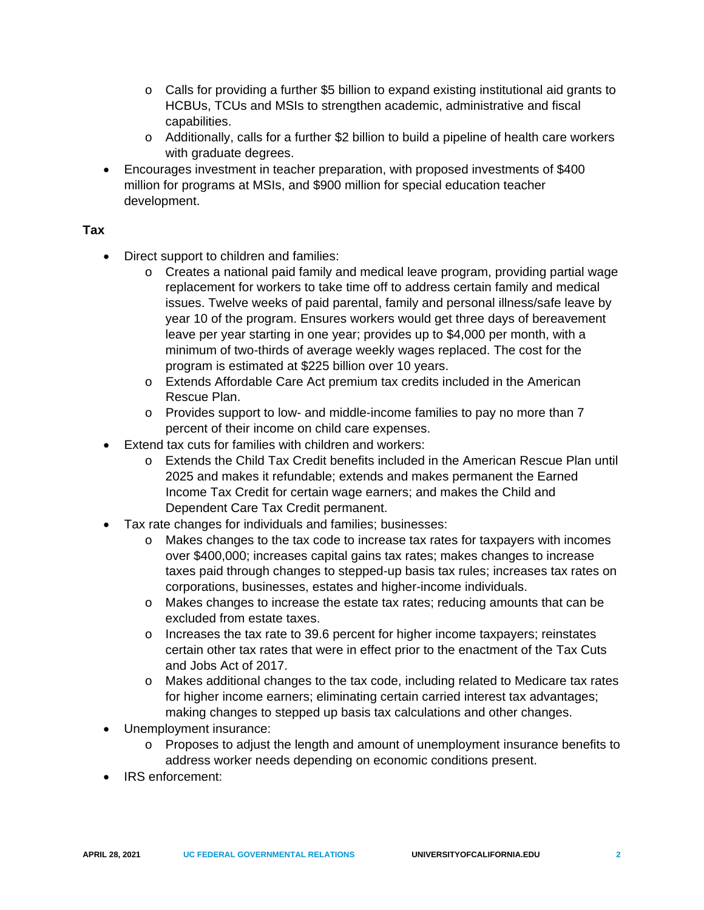- $\circ$  Calls for providing a further \$5 billion to expand existing institutional aid grants to HCBUs, TCUs and MSIs to strengthen academic, administrative and fiscal capabilities.
- $\circ$  Additionally, calls for a further \$2 billion to build a pipeline of health care workers with graduate degrees.
- Encourages investment in teacher preparation, with proposed investments of \$400 million for programs at MSIs, and \$900 million for special education teacher development.

### **Tax**

- Direct support to children and families:
	- o Creates a national paid family and medical leave program, providing partial wage replacement for workers to take time off to address certain family and medical issues. Twelve weeks of paid parental, family and personal illness/safe leave by year 10 of the program. Ensures workers would get three days of bereavement leave per year starting in one year; provides up to \$4,000 per month, with a minimum of two-thirds of average weekly wages replaced. The cost for the program is estimated at \$225 billion over 10 years.
	- o Extends Affordable Care Act premium tax credits included in the American Rescue Plan.
	- $\circ$  Provides support to low- and middle-income families to pay no more than 7 percent of their income on child care expenses.
- Extend tax cuts for families with children and workers:
	- o Extends the Child Tax Credit benefits included in the American Rescue Plan until 2025 and makes it refundable; extends and makes permanent the Earned Income Tax Credit for certain wage earners; and makes the Child and Dependent Care Tax Credit permanent.
- Tax rate changes for individuals and families; businesses:
	- o Makes changes to the tax code to increase tax rates for taxpayers with incomes over \$400,000; increases capital gains tax rates; makes changes to increase taxes paid through changes to stepped-up basis tax rules; increases tax rates on corporations, businesses, estates and higher-income individuals.
	- o Makes changes to increase the estate tax rates; reducing amounts that can be excluded from estate taxes.
	- $\circ$  Increases the tax rate to 39.6 percent for higher income taxpayers; reinstates certain other tax rates that were in effect prior to the enactment of the Tax Cuts and Jobs Act of 2017.
	- o Makes additional changes to the tax code, including related to Medicare tax rates for higher income earners; eliminating certain carried interest tax advantages; making changes to stepped up basis tax calculations and other changes.
- Unemployment insurance:
	- o Proposes to adjust the length and amount of unemployment insurance benefits to address worker needs depending on economic conditions present.
- IRS enforcement: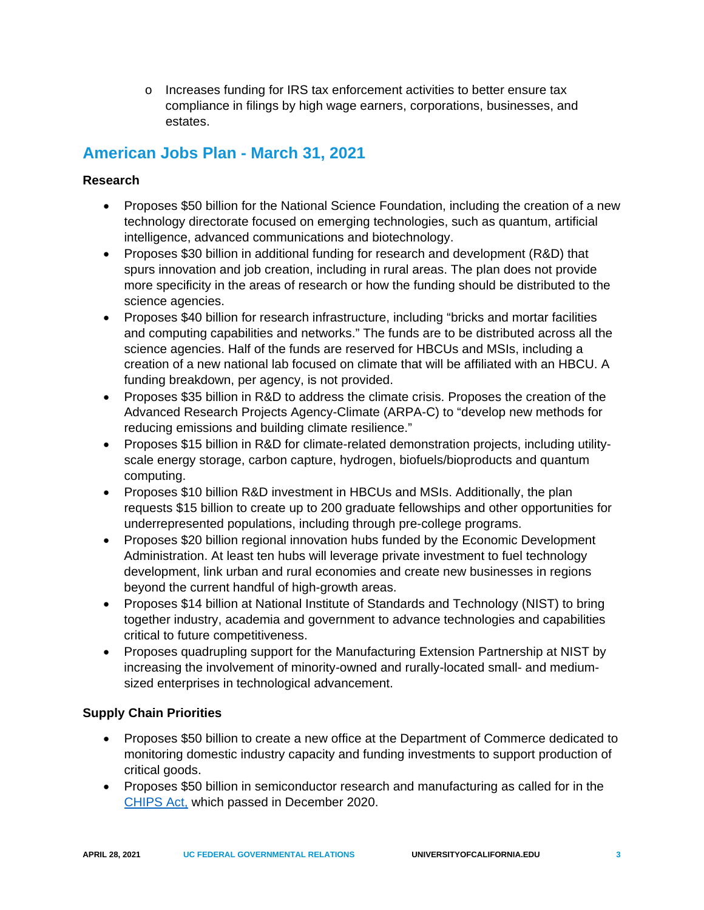o Increases funding for IRS tax enforcement activities to better ensure tax compliance in filings by high wage earners, corporations, businesses, and estates.

# **American Jobs Plan - March 31, 2021**

### **Research**

- Proposes \$50 billion for the National Science Foundation, including the creation of a new technology directorate focused on emerging technologies, such as quantum, artificial intelligence, advanced communications and biotechnology.
- Proposes \$30 billion in additional funding for research and development (R&D) that spurs innovation and job creation, including in rural areas. The plan does not provide more specificity in the areas of research or how the funding should be distributed to the science agencies.
- Proposes \$40 billion for research infrastructure, including "bricks and mortar facilities and computing capabilities and networks." The funds are to be distributed across all the science agencies. Half of the funds are reserved for HBCUs and MSIs, including a creation of a new national lab focused on climate that will be affiliated with an HBCU. A funding breakdown, per agency, is not provided.
- Proposes \$35 billion in R&D to address the climate crisis. Proposes the creation of the Advanced Research Projects Agency-Climate (ARPA-C) to "develop new methods for reducing emissions and building climate resilience."
- Proposes \$15 billion in R&D for climate-related demonstration projects, including utilityscale energy storage, carbon capture, hydrogen, biofuels/bioproducts and quantum computing.
- Proposes \$10 billion R&D investment in HBCUs and MSIs. Additionally, the plan requests \$15 billion to create up to 200 graduate fellowships and other opportunities for underrepresented populations, including through pre-college programs.
- Proposes \$20 billion regional innovation hubs funded by the Economic Development Administration. At least ten hubs will leverage private investment to fuel technology development, link urban and rural economies and create new businesses in regions beyond the current handful of high-growth areas.
- Proposes \$14 billion at National Institute of Standards and Technology (NIST) to bring together industry, academia and government to advance technologies and capabilities critical to future competitiveness.
- Proposes quadrupling support for the Manufacturing Extension Partnership at NIST by increasing the involvement of minority-owned and rurally-located small- and mediumsized enterprises in technological advancement.

### **Supply Chain Priorities**

- Proposes \$50 billion to create a new office at the Department of Commerce dedicated to monitoring domestic industry capacity and funding investments to support production of critical goods.
- Proposes \$50 billion in semiconductor research and manufacturing as called for in the [CHIPS Act,](https://www.congress.gov/bill/116th-congress/house-bill/7178) which passed in December 2020.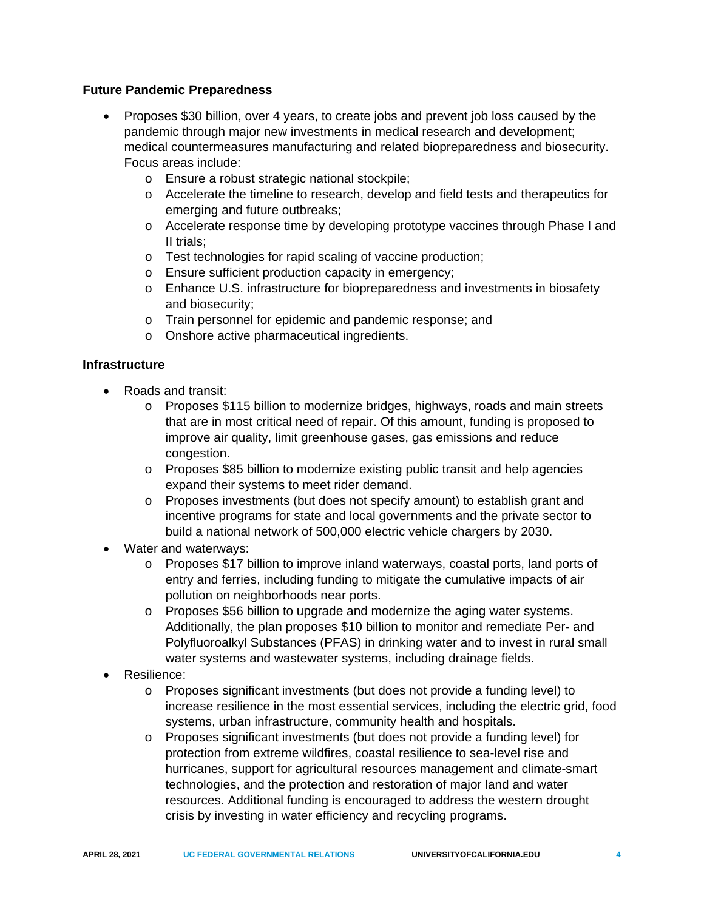#### **Future Pandemic Preparedness**

- Proposes \$30 billion, over 4 years, to create jobs and prevent job loss caused by the pandemic through major new investments in medical research and development; medical countermeasures manufacturing and related biopreparedness and biosecurity. Focus areas include:
	- o Ensure a robust strategic national stockpile;
	- o Accelerate the timeline to research, develop and field tests and therapeutics for emerging and future outbreaks;
	- o Accelerate response time by developing prototype vaccines through Phase I and II trials;
	- o Test technologies for rapid scaling of vaccine production;
	- o Ensure sufficient production capacity in emergency;
	- o Enhance U.S. infrastructure for biopreparedness and investments in biosafety and biosecurity;
	- o Train personnel for epidemic and pandemic response; and
	- o Onshore active pharmaceutical ingredients.

#### **Infrastructure**

- Roads and transit:
	- o Proposes \$115 billion to modernize bridges, highways, roads and main streets that are in most critical need of repair. Of this amount, funding is proposed to improve air quality, limit greenhouse gases, gas emissions and reduce congestion.
	- o Proposes \$85 billion to modernize existing public transit and help agencies expand their systems to meet rider demand.
	- o Proposes investments (but does not specify amount) to establish grant and incentive programs for state and local governments and the private sector to build a national network of 500,000 electric vehicle chargers by 2030.
- Water and waterways:
	- o Proposes \$17 billion to improve inland waterways, coastal ports, land ports of entry and ferries, including funding to mitigate the cumulative impacts of air pollution on neighborhoods near ports.
	- o Proposes \$56 billion to upgrade and modernize the aging water systems. Additionally, the plan proposes \$10 billion to monitor and remediate Per- and Polyfluoroalkyl Substances (PFAS) in drinking water and to invest in rural small water systems and wastewater systems, including drainage fields.
- Resilience:
	- o Proposes significant investments (but does not provide a funding level) to increase resilience in the most essential services, including the electric grid, food systems, urban infrastructure, community health and hospitals.
	- o Proposes significant investments (but does not provide a funding level) for protection from extreme wildfires, coastal resilience to sea-level rise and hurricanes, support for agricultural resources management and climate-smart technologies, and the protection and restoration of major land and water resources. Additional funding is encouraged to address the western drought crisis by investing in water efficiency and recycling programs.